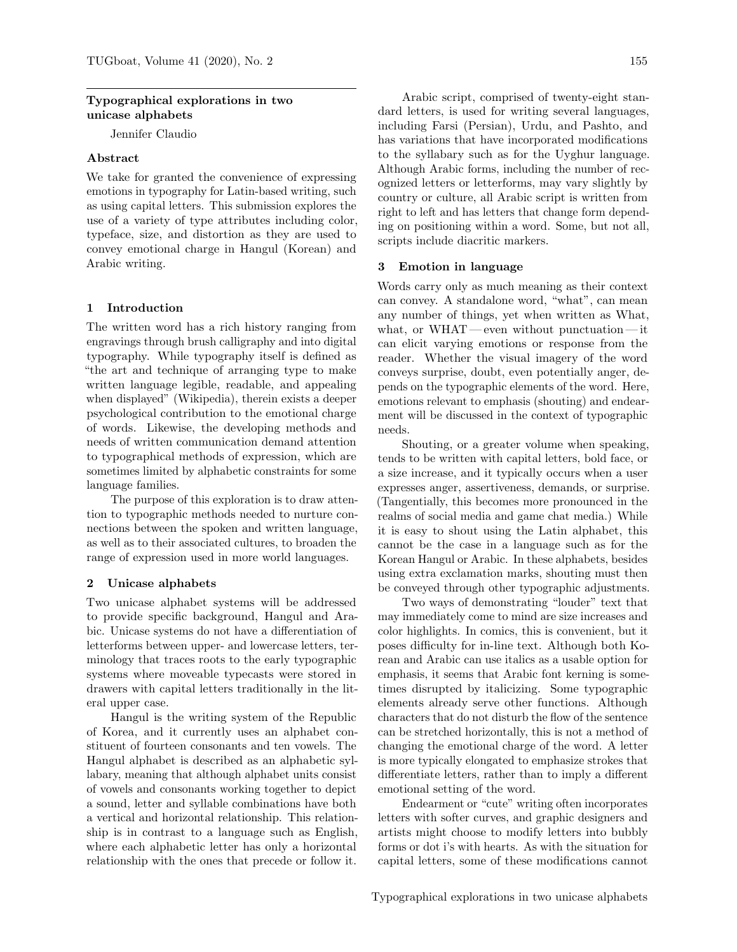### Typographical explorations in two unicase alphabets

Jennifer Claudio

# Abstract

We take for granted the convenience of expressing emotions in typography for Latin-based writing, such as using capital letters. This submission explores the use of a variety of type attributes including color, typeface, size, and distortion as they are used to convey emotional charge in Hangul (Korean) and Arabic writing.

### 1 Introduction

The written word has a rich history ranging from engravings through brush calligraphy and into digital typography. While typography itself is defined as "the art and technique of arranging type to make written language legible, readable, and appealing when displayed" (Wikipedia), therein exists a deeper psychological contribution to the emotional charge of words. Likewise, the developing methods and needs of written communication demand attention to typographical methods of expression, which are sometimes limited by alphabetic constraints for some language families.

The purpose of this exploration is to draw attention to typographic methods needed to nurture connections between the spoken and written language, as well as to their associated cultures, to broaden the range of expression used in more world languages.

#### 2 Unicase alphabets

Two unicase alphabet systems will be addressed to provide specific background, Hangul and Arabic. Unicase systems do not have a differentiation of letterforms between upper- and lowercase letters, terminology that traces roots to the early typographic systems where moveable typecasts were stored in drawers with capital letters traditionally in the literal upper case.

Hangul is the writing system of the Republic of Korea, and it currently uses an alphabet constituent of fourteen consonants and ten vowels. The Hangul alphabet is described as an alphabetic syllabary, meaning that although alphabet units consist of vowels and consonants working together to depict a sound, letter and syllable combinations have both a vertical and horizontal relationship. This relationship is in contrast to a language such as English, where each alphabetic letter has only a horizontal relationship with the ones that precede or follow it.

Arabic script, comprised of twenty-eight standard letters, is used for writing several languages, including Farsi (Persian), Urdu, and Pashto, and has variations that have incorporated modifications to the syllabary such as for the Uyghur language. Although Arabic forms, including the number of recognized letters or letterforms, may vary slightly by country or culture, all Arabic script is written from right to left and has letters that change form depending on positioning within a word. Some, but not all, scripts include diacritic markers.

#### 3 Emotion in language

Words carry only as much meaning as their context can convey. A standalone word, "what", can mean any number of things, yet when written as What, what, or WHAT— even without punctuation— it can elicit varying emotions or response from the reader. Whether the visual imagery of the word conveys surprise, doubt, even potentially anger, depends on the typographic elements of the word. Here, emotions relevant to emphasis (shouting) and endearment will be discussed in the context of typographic needs.

Shouting, or a greater volume when speaking, tends to be written with capital letters, bold face, or a size increase, and it typically occurs when a user expresses anger, assertiveness, demands, or surprise. (Tangentially, this becomes more pronounced in the realms of social media and game chat media.) While it is easy to shout using the Latin alphabet, this cannot be the case in a language such as for the Korean Hangul or Arabic. In these alphabets, besides using extra exclamation marks, shouting must then be conveyed through other typographic adjustments.

Two ways of demonstrating "louder" text that may immediately come to mind are size increases and color highlights. In comics, this is convenient, but it poses difficulty for in-line text. Although both Korean and Arabic can use italics as a usable option for emphasis, it seems that Arabic font kerning is sometimes disrupted by italicizing. Some typographic elements already serve other functions. Although characters that do not disturb the flow of the sentence can be stretched horizontally, this is not a method of changing the emotional charge of the word. A letter is more typically elongated to emphasize strokes that differentiate letters, rather than to imply a different emotional setting of the word.

Endearment or "cute" writing often incorporates letters with softer curves, and graphic designers and artists might choose to modify letters into bubbly forms or dot i's with hearts. As with the situation for capital letters, some of these modifications cannot